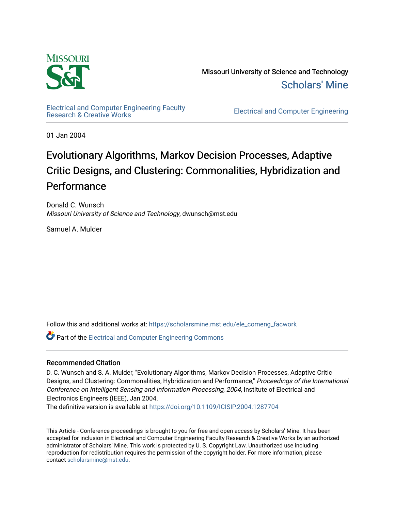

Missouri University of Science and Technology [Scholars' Mine](https://scholarsmine.mst.edu/) 

[Electrical and Computer Engineering Faculty](https://scholarsmine.mst.edu/ele_comeng_facwork)

**Electrical and Computer Engineering** 

01 Jan 2004

# Evolutionary Algorithms, Markov Decision Processes, Adaptive Critic Designs, and Clustering: Commonalities, Hybridization and Performance

Donald C. Wunsch Missouri University of Science and Technology, dwunsch@mst.edu

Samuel A. Mulder

Follow this and additional works at: [https://scholarsmine.mst.edu/ele\\_comeng\\_facwork](https://scholarsmine.mst.edu/ele_comeng_facwork?utm_source=scholarsmine.mst.edu%2Fele_comeng_facwork%2F1607&utm_medium=PDF&utm_campaign=PDFCoverPages)

**P** Part of the Electrical and Computer Engineering Commons

# Recommended Citation

D. C. Wunsch and S. A. Mulder, "Evolutionary Algorithms, Markov Decision Processes, Adaptive Critic Designs, and Clustering: Commonalities, Hybridization and Performance," Proceedings of the International Conference on Intelligent Sensing and Information Processing, 2004, Institute of Electrical and Electronics Engineers (IEEE), Jan 2004.

The definitive version is available at <https://doi.org/10.1109/ICISIP.2004.1287704>

This Article - Conference proceedings is brought to you for free and open access by Scholars' Mine. It has been accepted for inclusion in Electrical and Computer Engineering Faculty Research & Creative Works by an authorized administrator of Scholars' Mine. This work is protected by U. S. Copyright Law. Unauthorized use including reproduction for redistribution requires the permission of the copyright holder. For more information, please contact [scholarsmine@mst.edu](mailto:scholarsmine@mst.edu).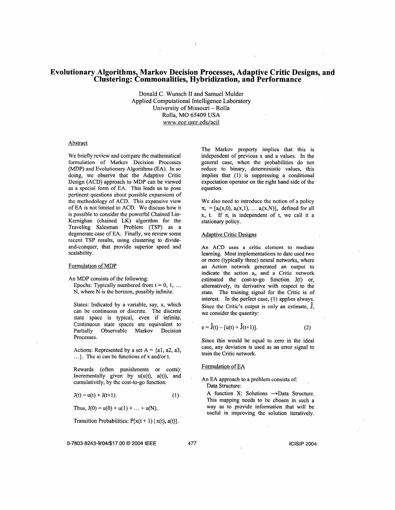# **Evolutionary Algorithms, Markov Decision Processes, Adaptive Critic Designs, and Clustering: Commonalities, Hybridization, and Performance**

Donald C. Wunsch **I1** and Samuel Mulder Applied Computational Intelligence Laboratory University of Missouri - Rolla Rolla, MO 65409 USA www.ece.umr.edu/acil

#### Abstract

We briefly review and compare the mathematical formulation of Markov Decision Processes (MDP) and Evolutionary Algorithms (EA). In so doing, we observe that the Adaptive Critic Design (ACD) approach to MDP can be viewed as a special form of EA. This leads us to pose pertinent questions about possible expansions of the methodology of ACD. This expansive view of **EA** is not limited to ACD. We discuss how it is possible to consider the powerful Chained Lin-Kemighan (chained LK) algorithm for the Traveling Salesman Problem (TSP) as a degenerate case of EA. Finally, we review some recent TSP results, using clustering to divideand-conquer, that provide superior speed and scalability.

## Formulation of MDP

**An** MDP consists of the following:

Epochs: Typically numbered from  $t = 0, 1, ...$ N, where N is the horizon, possibly infinite.

States: Indicated by a variable, say, x, which can be continuous or discrete. The discrete state space is typical, even if infinite. Continuous state spaces are equivalent to Partially Observable Markov Decision Processes.

Actions: Represented by a set  $A = \{a1, a2, a3, \}$  train the Critic network.  $\ldots$ . The ai can be functions of x and/or t.

Rewards (often punishments or costs): Formulation of **EA**  Incrementally given by  $u(x(t), a(t))$ , and EXECUTE CONSULTER  $A_n$  **EA** approach to a problem consists of: cumulatively, by the cost-to-go function:

 $J(t) = u(t) + J(t+1).$  (1).

Thus,  $J(0) = u(0) + u(1) + \ldots + u(N)$ .

Transition Probabilities:  $P[x(t + 1) | x(t), a(t)].$ 

**0-7803-8243-9104/\$17.00** *0* **2004 IEEE 477 lClSlP 2004** 

The Markov property implies that. this is independent of previous x and a values. In the general case, when the probabilities do not reduce to binary, deterministic values, this implies that (1) is suppressing a conditional expectation operator on the right hand side of the equation.

We also need to introduce the notion of a policy  $\pi_i = [a_i(x,0), a_i(x,1), \dots a_i(x,N)]$ , defined for all  $x$ , **t.** If  $\pi_i$  is independent of **t**, we call it a stationary policy.

#### Adaptive Critic Designs

*An* **ACD** uses a critic element to mediate learning. Most implementations to date used two or more (typically three) neural networks, where an Action network generated an output to indicate the action a<sub>i</sub>, and a Critic network estimated the cost-to-go function J(t) or, alternatively, its derivative with respect to the state. The training signal for the Critic is of interest. In the perfect case, (1) applies always. Since the Critic's output is only an estimate, J, we consider the quantity:

$$
e = \hat{J}(t) - [u(t) + \hat{J}(t+1)].
$$
 (2)

Since this would be equal to zero in the ideal case, any deviation is used as an error signal to

Data Structure:

A function X: Solutions  $\rightarrow$ Data Structure. This mapping needs to be chosen in such a way as to provide information that will be useful in improving the solution iteratively.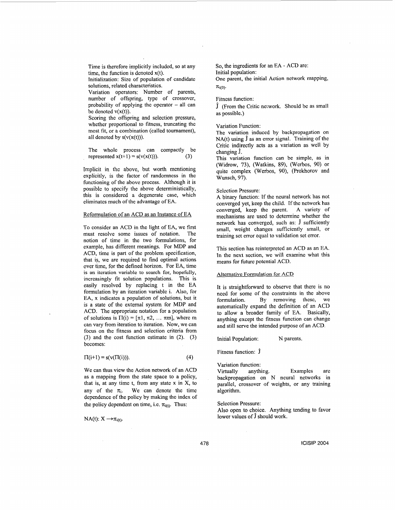Time is therefore implicitly included, **SO** at any time, the function is denoted x(t).

Initialization: Size of population of candidate solutions, related characteristics.

Variation operators: Number of parents, number of offspring, type of crossover, probability of applying the operator  $-$  all can be denoted  $v(x(t))$ .

Scoring the offspring and selection pressure, whether proportional to fitness, truncating the most fit, or a combination (called toumament), all denoted by  $s(v(x(t)))$ .

The whole process can compactly be represented  $x(t+1) = s(v(x(t)))$ . (3)

Implicit in the above, but worth mentioning explicitly, is the factor of randomness in the functioning of the above process. Although it is possible to specify the above deterministically, this is considered a degenerate case, which eliminates much of the advantage of EA.

## Reformulation of an **ACD** as an Instance of **EA**

To consider an ACD in the light of EA, we first must resolve some issues of notation. The notion of time in the two formulations, for example, has different meanings. For MDP and **ACD,** time is part of the problem specification, that is, we are required to find optimal actions over time, for the defined horizon. For EA, time **is an itcration variable** to **scarch** for, **hopefully,**  increasingly fit solution populations. This is easily resolved by replacing t in the EA formulation by an iteration variable i. Also, for EA, x indicates a population of solutions, but it is a state of the external system for MDP and **ACD.** The appropriate notation for a population of solutions is  $\Pi(i) = [\pi 1, \pi 2, \dots, \pi m]$ , where m can vary from iteration to iteration. Now, we can focus on the fitness and selection criteria from **(3)** and the cost function estimate in (2). **(3)**  becomes:

 $\Pi(i+1) = s(v(\Pi(i))).$  (4)

We can thus view the Action network of an ACD as a mapping from the state space to a policy, that is, at any time t, from any state **x** in **X,** to any of the  $\pi_i$ . We can denote the time dependence of the policy by making the index of the policy dependent on time, i.e.  $\pi_{i(t)}$ . Thus:

NA(t):  $X \rightarrow \pi_{i(t)}$ .

So, the ingredients for an EA - ACD are: Initial population:

One parent, the initial Action network mapping,  $\pi_{i(0)}$ .

Fitness function:

 $\hat{J}$  (From the Critic network. Should be as small as possible.)

Variation Function:

The variation induced by backpropagation on NA(t) using  $\hat{J}$  as an error signal. Training of the Critic indirectly acts as a variation as well by changing J.

This variation function can be simple, as in (Widrow, **73),** (Watkins, **89),** (Werbos, 90) or quite complex (Werbos, 90), (Prokhorov and Wunsch, 97).

#### Selection Pressure:

**A** binary fimction: If the neural network has not converged yet, keep the child. If the network has converged, keep the parent. A variety of mechanisms are used to determine whether the network has converged, such as:  $\hat{J}$  sufficiently small, weight changes sufficiently small, or training set error equal to validation set error.

This section has reinterpreted an ACD as an EA. In the next section, **we** will examine what this means for future potential ACD.

#### Alternative Formulation for **ACD**

It is straightforward to observe that there is no need for some of the constraints in the above formulation. By removing these, we automatically expand the definition of an ACD to allow a broader family of EA. Basically, anything except the fitness function can change and still serve the intended purpose of an ACD.

Initial Population: N parents.

Fitness function: **j** 

Variation function:

Virtually anything. Examples are backpropagation on N neural networks in parallel, crossover of weights, or any training algorithm.

Selection Pressure: Also open to choice. Anything tending to favor lower values of  $\hat{J}$  should work.

478 IClSlP 2004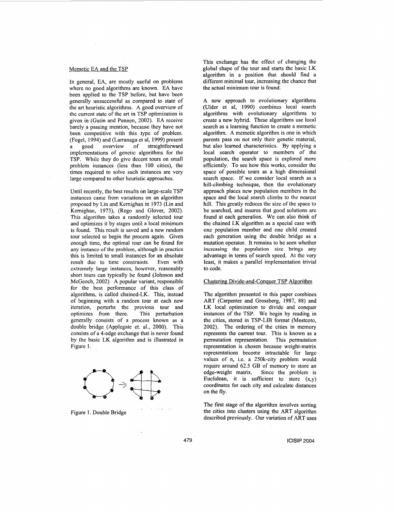#### Memetic **EA** and the TSP

In general, EA, are mostly useful on problems where no good algorithms are known. EA have been applied to the TSP before, but havc been generally unsuccesshl as compared to state of the art heuristic algorithms. **A** good overview of the current state of the art in TSP optimization is given in (Gutin and Punnen, 2002). **EA** receive barely a passing mention, because they have not been competitive with this type of problem. (Fogel, 1994) and (Larranaga et al, 1999) present<br>a good overview of straightforward a good overview of straightforward implementations of gcnetic algorithms for the TSP. While they do give decent tours on small problem instances (less than 100 cities), the times required to solve such instances are very large compared to other heuristic approaches.

Until recently, the best results on large-scale TSP instances came from variations on an algorithm proposed by Lin and Kcmighan in 1973 (Lin and Kemighan, 1973), (Rego and Glover, 2002). This algorithm takes a randomly selected tour and optimizes it by stages until a local minimum is found. This result is saved and a new random tour selected to begin the process again. Given enough time, the optimal tour can be found for any instancc of the problem, although in practice this is limited to small instances for an absolute result duc to time constraints. Even with extremely large instances, however, reasonably short tours can typically be found (Johnson and McGeoch, 2002). A popular variant, responsible for the best performance of this class of algorithms, is called chained-LK. This, instead of beginning with a random tour at each new iteration, perturbs the previous tour and optimizes from there. generally consists of a process known as a double bridge (Applegate et. al., 2000). This consists of a 4-edge exchange that is never found by the basic LK algorithm and is illustrated in Figure 1.



Figure 1. Double Bridge

This exchange has the effect of changing the global shape of the tour and starts the basic LK algorithm in a position that should find a different minimal tour, increasing the chance that the actual minimum tour is found.

A new approach to evolutionary algorithms (Ulder et al, 1990) combines local search algorithms with evolutionary algorithms to create a new hybrid. These algorithms use local search as a learning function to create a memetic algorithm. **A** memetic algorithm is one in which parents pass on not only their genetic material, but also learned characteristics. By applying a local search operator to members of the population, the search space is explored more efficiently. To see how this works, consider the space of possible tours as a high dimensional search space. If we consider local search as a hill-climbing technique, then the evolutionary approach places new population members in the space and the local search climbs to the nearest hill. This greatly reduces the size of the space to be searched, and insures that good solutions are found at each generation. We can also think of the chained LK algorithm as a special case with one population member and one child created each generation using the double bridge as a mutation operator. It remains to be seen whether increasing **the** population **size** brings any advantage in terms of search speed. At the very least, it makes a parallel implementation trivial to code.

## Clustering Divide-and-Conquer TSP Algorithm

The algorithm presented in this paper combines ART (Carpenter and Grossberg, 1987, 88) and LK local optimization to divide and conquer instances of the TSP. We begin by reading in the cities, stored in TSP-LIB format (Mostcoto, 2002). The ordering of the cities in memory represents the current tour. This is known as a permutation representation. This permutation representation is chosen because weight-matrix representations become intractable for large values of n, i.e. a 250k-city problem would require around 62.5 GB of memory to store an edge-weight matrix. Since the problem is Euclidean, it is sufficient to store  $(x,y)$ coordinates for each city and calculate distances on the fly.

The first stage of the algorithm involves sorting the cities into clusters using the ART algorithm described previously. Our variation of ART uses

**ICISIP 2004**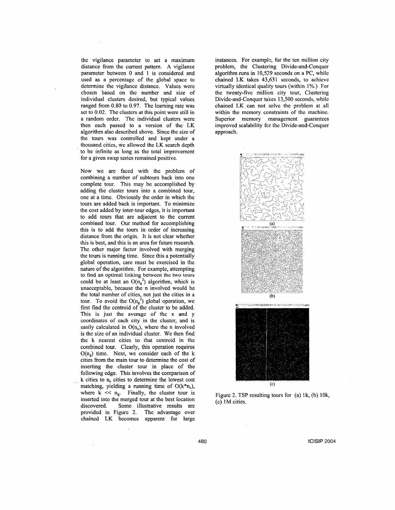the vigilance parameter to set a maximum distance from the current pattern. **A** vigilance parameter between 0 and 1 is considered and used as a percentage of the global space to determine the vigilance distance. Values were chosen based on the number and size of individual clusters desired, but typical values ranged from 0.80 to 0.97. The learning rate was set to 0.02. The clusters at this point were still in a random order. The individual clusters were then each passed to a version of the LK algorithm also described above. Since the size of the tours was controlled and kept under a thousand cities, we allowed the LK search depth to be infinite as long as the total improvement for a given swap series remained positive.

Now we are faced with the problem of combining a number of subtours back into one complete tour. This may be accomplished by adding the cluster tours into a combined tour, one at a time. Obviously the order in which the tours are added back is important. To minimize the cost added by inter-tour edges, it is important to add tours that are adjacent to the current combined tour. Our method for accomplishing this is to add the tours in order of increasing distance from the origin. It is not clear whether this is best, and this is an area for future research. The other major factor involved with merging the tours is running time. Since this a potentially global operation, care must be exercised in the nature of the algorithm. For example, attempting to find an optimal linking between thc two tours could be at least an  $O(n_g^2)$  algorithm, which is unacceptable, because the n involved would be the total number of cities, not just the cities in a tour. To avoid the  $O(n_g^2)$  global operation, we first find the centroid of the cluster to be added. This is just the average of the x and y coordinates of each city in the cluster, and is easily calculated in  $O(n_c)$ , where the n involved is the size of an individual cluster. We then find the k nearest cities to that centroid in the combined tour. Clearly, this operation requires  $O(n_e)$  time. Next, we consider each of the k cities from the main tour to determine the cost of inserting the cluster tour in place of the following edge. This involves the comparison of k cities to **n,** cities to determine the lowest cost matching, yielding a running time of  $O(k^*n_c)$ , where  $k \ll n_g$ . Finally, the cluster tour is inserted into the merged tour at the best location discovered. Some illustrative results are provided in Figure 2. The advantage over chained LK becomes apparent for large instances. For example, for the ten million city problem, the Clustering Divide-and-Conquer algorithm **runs** in 10,529 seconds on a PC, while chained LK takes 43,631 seconds, to achieve virtually identical quality tours (within 1%.) For the twenty-five million city tour, Clustering Divide-and-Conquer takes 13,500 seconds, whilc chained LK can not solve the problem at all within the memory constraints of the machine. Superior memory management guarantees improved scalability for the Divide-and-Conquer approach.



Figure 2. TSP resulting tours for (a) lk, (b) 10k, (c) **1M** cities.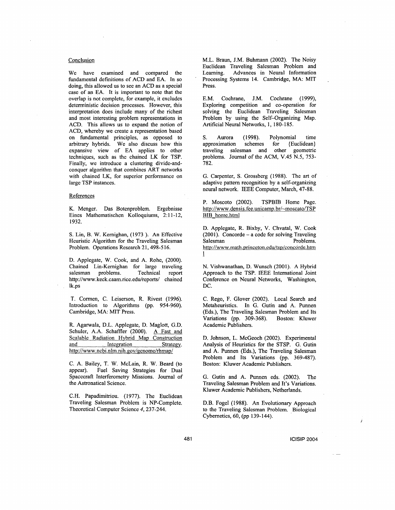# Conclusion

We have examined and compared the fundamental definitions of ACD and EA. In so doing, this allowed us to see an ACD as a special case of an EA. It is important to note that the overlap is not complete, for example, it excludes deterministic decision processes. However, this interpretation does include many of the richest and most interesting problem representations in ACD. This allows us to expand the notion of ACD, whereby we create a representation based on fundamental principles, as opposed to arbitrary hybrids. We also discuss how this expansive view of EA applies to other techniques, such as the chained LK for TSP. Finally, we introduce a clustering divide-andconquer algorithm that combines ART networks with chained LK, for superior performance on large TSP instances.

#### **References**

K. Menger. Das Botenproblem. Ergebnisse Eines Mathematischen Kolloquiums, 2:11-12, 1932.

*S.* Lin, B. W. Kemighan, (1973 ). An Effective Heuristic Algorithm for the Traveling Salesman Problem. Operations Research 21, 498-516.

D. Applegate, W. Cook, and **A.** Rohe, (2000). Chained Lin-Kemighan for large traveling salesman problems. Technical report **[http://www.keck.caam.rice.edu/reports/](http://www.keck.caam.rice.edu/reports)** chained lk.ps

T. Cormen, C. Leiserson, R. Rivest (1996). Introduction to Algorithms (pp. 954-960). Cambridge, MA: MIT Press.

R. Aganvala, D.L. Applegate, D. Maglott, G.D. Schuler, A.A. Schaffler (2000). A Fast and Scalable Radiation Hybrid Map Construction and Integration Strategy. http://www.ncbi.nlm.nih.gov/genome/rhmap/

C. A. Bailey, T. W. McLain, R. W. Beard (to appear). Fuel Saving Strategies for Dual Spacecraft Interferometry Missions. Joumal of the Astronatical Science.

C.H. Papadimitriou. (1977). The Euclidean Traveling Salesman Problem is NP-complete. Theoretical Computer Science 4,237-244.

M.L. Braun, J.M. Buhmann (2002). The Noisy Euclidean Traveling Salesman Problem and Learning. Advances in Neural Information Processing Systems 14. Cambridge, MA: MIT Press.

E.M. Cochrane, J.M. Cochrane (1999), Exploring competition and co-operation for solving the Euclidean Traveling Salesman Problem by using the Self-Organizing Map. Artificial Neural Networks, 1, 180-185.

S. Aurora (1998). Polynomial time<br>approximation schemes for {Euclidean} approximation schemes for traveling salesman and other geometric problems. Journal of the ACM, V.45 N.5, 753- 782.

G. Carpenter, **S.** Grossberg (1988). The art of adaptive pattern recognition by a self-organizing neural network. IEEE Computer, March, 47-88.

P. Moscoto (2002). TSPBIB Home Page. http://www.densis.fee.unicamp.br/~moscato/TSP BIB home.html

D. Applegate, R. Bixby, **V.** Chvatal, W. Cook (2001). Concorde - a code for solving Traveling Problems. http://www.math.princeton.edu/tsp/concorde.htm 1

N. Vishwanathan, D. Wunsch (2001). **A** Hybrid Approach to the TSP. IEEE International Joint Conference on Neural Networks, Washington, DC.

C. Rego, F. Glover (2002). Local Search and Metaheuristics. In G. Gutin and A. Punnen (Eds.), The Traveling Salesman Problem and Its Variations (pp. 309-368). Boston: Kluwer Academic Publishers.

D. Johnson, L. McGeoch (2002). Experimental Analysis *of* Heuristics for the STSP. G. Gutin and A. Punnen (Eds.), The Traveling Salesman Problem and Its Variations (pp. 369-487). Boston: Kluwer Academic Publishers.

G. Gutin and A. Punnen eds. (2002). The Traveling Salesman Problem and It's Variations. Kluwer Academic Publishers, Netherlands.

D.B. Fogel (1988). **An** Evolutionary Approach to the Traveling Salesman Problem. Biological Cybernetics, 60, (pp 139-144).

# 48 1 **IClSlP** 2004